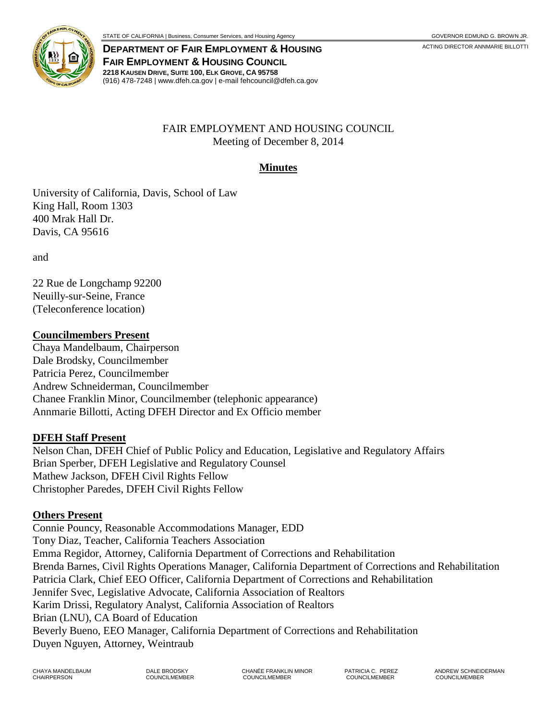



**DEPARTMENT OF FAIR EMPLOYMENT & HOUSING** ACTING DIRECTOR ANNMARIE BILLOTTI **FAIR EMPLOYMENT & HOUSING COUNCIL 2218 KAUSEN DRIVE, SUITE 100, ELK GROVE, CA 95758** (916) 478-7248 | www.dfeh.ca.gov | e-mail fehcouncil@dfeh.ca.gov

## FAIR EMPLOYMENT AND HOUSING COUNCIL Meeting of December 8, 2014

#### **Minutes**

University of California, Davis, School of Law King Hall, Room 1303 400 Mrak Hall Dr. Davis, CA 95616

and

22 Rue de Longchamp 92200 Neuilly-sur-Seine, France (Teleconference location)

#### **Councilmembers Present**

Chaya Mandelbaum, Chairperson Dale Brodsky, Councilmember Patricia Perez, Councilmember Andrew Schneiderman, Councilmember Chanee Franklin Minor, Councilmember (telephonic appearance) Annmarie Billotti, Acting DFEH Director and Ex Officio member

#### **DFEH Staff Present**

Nelson Chan, DFEH Chief of Public Policy and Education, Legislative and Regulatory Affairs Brian Sperber, DFEH Legislative and Regulatory Counsel Mathew Jackson, DFEH Civil Rights Fellow Christopher Paredes, DFEH Civil Rights Fellow

#### **Others Present**

Connie Pouncy, Reasonable Accommodations Manager, EDD Tony Diaz, Teacher, California Teachers Association Emma Regidor, Attorney, California Department of Corrections and Rehabilitation Brenda Barnes, Civil Rights Operations Manager, California Department of Corrections and Rehabilitation Patricia Clark, Chief EEO Officer, California Department of Corrections and Rehabilitation Jennifer Svec, Legislative Advocate, California Association of Realtors Karim Drissi, Regulatory Analyst, California Association of Realtors Brian (LNU), CA Board of Education Beverly Bueno, EEO Manager, California Department of Corrections and Rehabilitation Duyen Nguyen, Attorney, Weintraub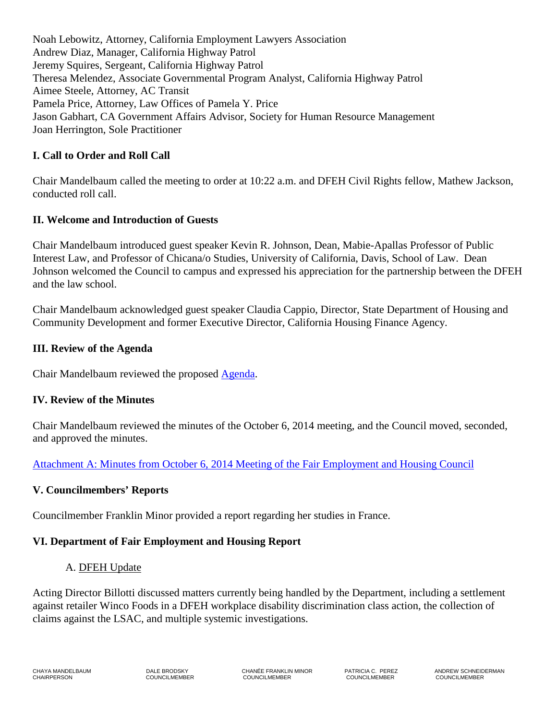Noah Lebowitz, Attorney, California Employment Lawyers Association Andrew Diaz, Manager, California Highway Patrol Jeremy Squires, Sergeant, California Highway Patrol Theresa Melendez, Associate Governmental Program Analyst, California Highway Patrol Aimee Steele, Attorney, AC Transit Pamela Price, Attorney, Law Offices of Pamela Y. Price Jason Gabhart, CA Government Affairs Advisor, Society for Human Resource Management Joan Herrington, Sole Practitioner

## **I. Call to Order and Roll Call**

Chair Mandelbaum called the meeting to order at 10:22 a.m. and DFEH Civil Rights fellow, Mathew Jackson, conducted roll call.

## **II. Welcome and Introduction of Guests**

Chair Mandelbaum introduced guest speaker Kevin R. Johnson, Dean, Mabie-Apallas Professor of Public Interest Law, and Professor of Chicana/o Studies, University of California, Davis, School of Law. Dean Johnson welcomed the Council to campus and expressed his appreciation for the partnership between the DFEH and the law school.

Chair Mandelbaum acknowledged guest speaker Claudia Cappio, Director, State Department of Housing and Community Development and former Executive Director, California Housing Finance Agency.

### **III. Review of the Agenda**

Chair Mandelbaum reviewed the proposed [Agenda.](http://www.dfeh.ca.gov/res/docs/Council/12-8-14%20Meeting/Notice%20and%20Agenda%2012-8-14.pdf)

### **IV. Review of the Minutes**

Chair Mandelbaum reviewed the minutes of the October 6, 2014 meeting, and the Council moved, seconded, and approved the minutes.

[Attachment A: Minutes from October 6, 2014 Meeting of the Fair Employment and Housing Council](http://www.dfeh.ca.gov/res/docs/Council/12-8-14%20Meeting/Attachment%20A%20%20FEHC%20Minutes%20October%2006%202014.pdf)

### **V. Councilmembers' Reports**

Councilmember Franklin Minor provided a report regarding her studies in France.

### **VI. Department of Fair Employment and Housing Report**

### A. DFEH Update

Acting Director Billotti discussed matters currently being handled by the Department, including a settlement against retailer Winco Foods in a DFEH workplace disability discrimination class action, the collection of claims against the LSAC, and multiple systemic investigations.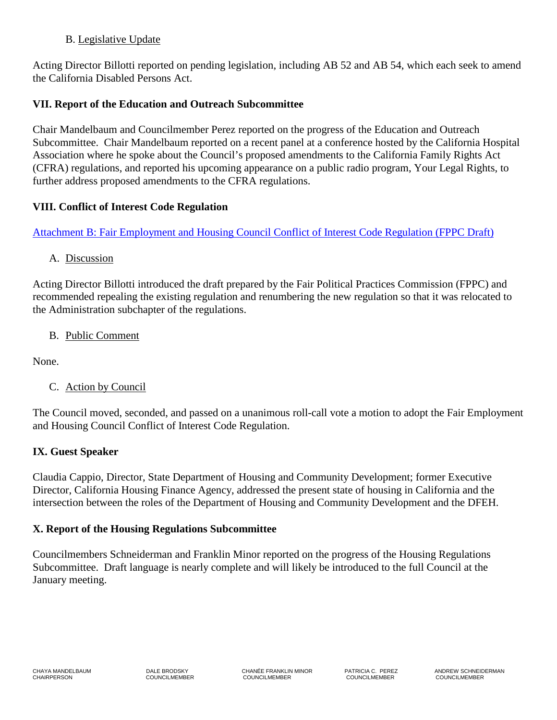## B. Legislative Update

Acting Director Billotti reported on pending legislation, including AB 52 and AB 54, which each seek to amend the California Disabled Persons Act.

# **VII. Report of the Education and Outreach Subcommittee**

Chair Mandelbaum and Councilmember Perez reported on the progress of the Education and Outreach Subcommittee. Chair Mandelbaum reported on a recent panel at a conference hosted by the California Hospital Association where he spoke about the Council's proposed amendments to the California Family Rights Act (CFRA) regulations, and reported his upcoming appearance on a public radio program, Your Legal Rights, to further address proposed amendments to the CFRA regulations.

# **VIII. Conflict of Interest Code Regulation**

[Attachment B: Fair Employment and Housing Council Conflict of Interest Code Regulation \(FPPC Draft\)](http://www.dfeh.ca.gov/res/docs/Council/12-8-14%20Meeting/Attachment%20B%20%20Conflict%20of%20Interest%20Code%20Regulation%20(FPPC%20draft).pdf) 

A. Discussion

Acting Director Billotti introduced the draft prepared by the Fair Political Practices Commission (FPPC) and recommended repealing the existing regulation and renumbering the new regulation so that it was relocated to the Administration subchapter of the regulations.

B. Public Comment

None.

C. Action by Council

The Council moved, seconded, and passed on a unanimous roll-call vote a motion to adopt the Fair Employment and Housing Council Conflict of Interest Code Regulation.

# **IX. Guest Speaker**

Claudia Cappio, Director, State Department of Housing and Community Development; former Executive Director, California Housing Finance Agency, addressed the present state of housing in California and the intersection between the roles of the Department of Housing and Community Development and the DFEH.

# **X. Report of the Housing Regulations Subcommittee**

Councilmembers Schneiderman and Franklin Minor reported on the progress of the Housing Regulations Subcommittee. Draft language is nearly complete and will likely be introduced to the full Council at the January meeting.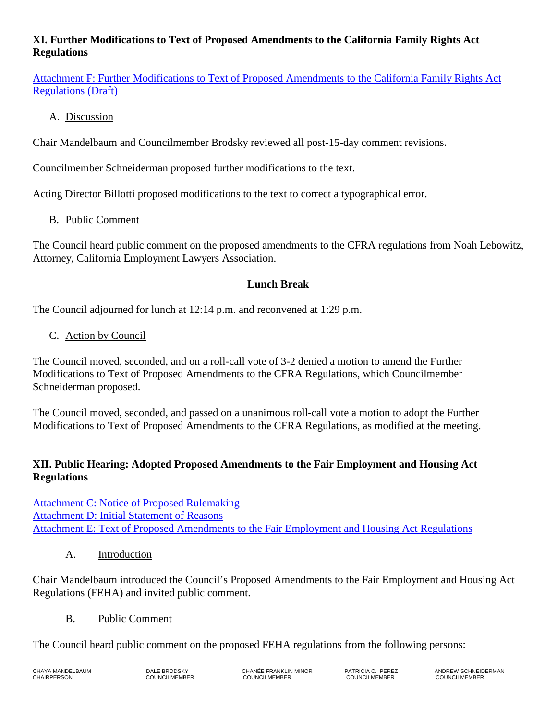# **XI. Further Modifications to Text of Proposed Amendments to the California Family Rights Act Regulations**

[Attachment F: Further Modifications to Text of Proposed Amendments to the California Family Rights Act](http://www.dfeh.ca.gov/res/docs/Council/12-8-14%20Meeting/Attachment%20F%20%20%20Further%20Modifications%20to%20Text%20of%20Proposed%20Amendments%20to%20CFRA%20Regulations%20(draft).pdf)  [Regulations \(Draft\)](http://www.dfeh.ca.gov/res/docs/Council/12-8-14%20Meeting/Attachment%20F%20%20%20Further%20Modifications%20to%20Text%20of%20Proposed%20Amendments%20to%20CFRA%20Regulations%20(draft).pdf)

## A. Discussion

Chair Mandelbaum and Councilmember Brodsky reviewed all post-15-day comment revisions.

Councilmember Schneiderman proposed further modifications to the text.

Acting Director Billotti proposed modifications to the text to correct a typographical error.

# B. Public Comment

The Council heard public comment on the proposed amendments to the CFRA regulations from Noah Lebowitz, Attorney, California Employment Lawyers Association.

## **Lunch Break**

The Council adjourned for lunch at 12:14 p.m. and reconvened at 1:29 p.m.

## C. Action by Council

The Council moved, seconded, and on a roll-call vote of 3-2 denied a motion to amend the Further Modifications to Text of Proposed Amendments to the CFRA Regulations, which Councilmember Schneiderman proposed.

The Council moved, seconded, and passed on a unanimous roll-call vote a motion to adopt the Further Modifications to Text of Proposed Amendments to the CFRA Regulations, as modified at the meeting.

## **XII. Public Hearing: Adopted Proposed Amendments to the Fair Employment and Housing Act Regulations**

[Attachment C: Notice of Proposed Rulemaking](http://www.dfeh.ca.gov/res/docs/Council/12-8-14%20Meeting/Attachment%20%20C%20%20Notice%20of%20Proposed%20Amendments%20to%20Fair%20Employment%20and%20Housing%20Act%20Regulations.pdf) [Attachment D: Initial Statement of Reasons](http://www.dfeh.ca.gov/res/docs/Council/12-8-14%20Meeting/Attachment%20D%20%20%20Initial%20Statement%20of%20Reasons%20for%20Proposed%20Amendments%20to%20Fair%20Employment%20and%20Housing%20Act%20Regulations.pdf) [Attachment E: Text of Proposed Amendments to the Fair Employment and Housing Act Regulations](http://www.dfeh.ca.gov/res/docs/Council/12-8-14%20Meeting/Attachment%20E%20%20Text%20of%20Proposed%20Amendments%20to%20Fair%20Employment%20and%20Housing%20Act%20Regulations.pdf)

### A. Introduction

Chair Mandelbaum introduced the Council's Proposed Amendments to the Fair Employment and Housing Act Regulations (FEHA) and invited public comment.

### B. Public Comment

The Council heard public comment on the proposed FEHA regulations from the following persons: